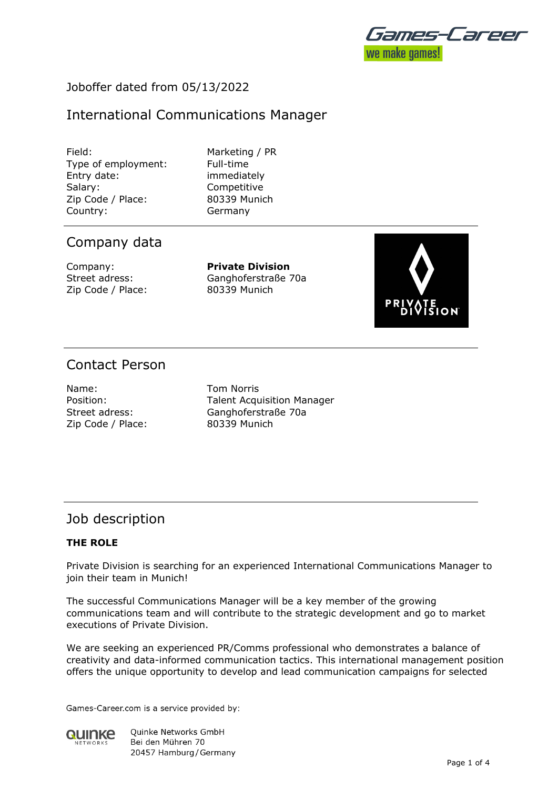

## Joboffer dated from 05/13/2022

# International Communications Manager

Field: Marketing / PR Type of employment: Full-time Entry date: immediately Salary: Competitive Zip Code / Place: 80339 Munich Country: Germany

### Company data

Zip Code / Place: 80339 Munich

Company: **Private Division** Street adress: Ganghoferstraße 70a



# Contact Person

Name: Tom Norris Zip Code / Place: 80339 Munich

Position: Talent Acquisition Manager Street adress: Ganghoferstraße 70a

### Job description

#### **THE ROLE**

Private Division is searching for an experienced International Communications Manager to join their team in Munich!

The successful Communications Manager will be a key member of the growing communications team and will contribute to the strategic development and go to market executions of Private Division.

We are seeking an experienced PR/Comms professional who demonstrates a balance of creativity and data-informed communication tactics. This international management position offers the unique opportunity to develop and lead communication campaigns for selected

Games-Career.com is a service provided by:



**Ouinke Networks GmbH** Bei den Mühren 70 20457 Hamburg / Germany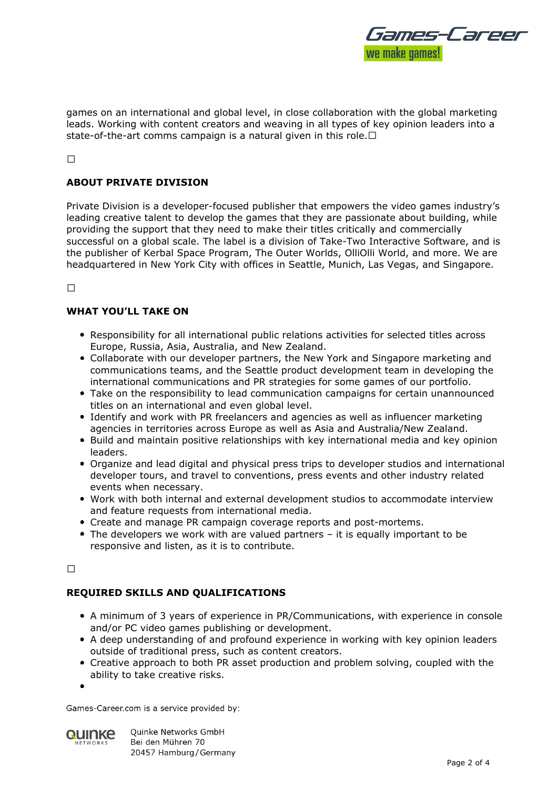

games on an international and global level, in close collaboration with the global marketing leads. Working with content creators and weaving in all types of key opinion leaders into a state-of-the-art comms campaign is a natural given in this role.  $\Box$ 

#### **ABOUT PRIVATE DIVISION**

Private Division is a developer-focused publisher that empowers the video games industry's leading creative talent to develop the games that they are passionate about building, while providing the support that they need to make their titles critically and commercially successful on a global scale. The label is a division of Take-Two Interactive Software, and is the publisher of Kerbal Space Program, The Outer Worlds, OlliOlli World, and more. We are headquartered in New York City with offices in Seattle, Munich, Las Vegas, and Singapore.

 $\Box$ 

#### **WHAT YOU'LL TAKE ON**

- Responsibility for all international public relations activities for selected titles across Europe, Russia, Asia, Australia, and New Zealand.
- Collaborate with our developer partners, the New York and Singapore marketing and communications teams, and the Seattle product development team in developing the international communications and PR strategies for some games of our portfolio.
- Take on the responsibility to lead communication campaigns for certain unannounced titles on an international and even global level.
- Identify and work with PR freelancers and agencies as well as influencer marketing agencies in territories across Europe as well as Asia and Australia/New Zealand.
- Build and maintain positive relationships with key international media and key opinion leaders.
- Organize and lead digital and physical press trips to developer studios and international developer tours, and travel to conventions, press events and other industry related events when necessary.
- Work with both internal and external development studios to accommodate interview and feature requests from international media.
- Create and manage PR campaign coverage reports and post-mortems.
- The developers we work with are valued partners it is equally important to be responsive and listen, as it is to contribute.

 $\Box$ 

### **REQUIRED SKILLS AND QUALIFICATIONS**

- A minimum of 3 years of experience in PR/Communications, with experience in console and/or PC video games publishing or development.
- A deep understanding of and profound experience in working with key opinion leaders outside of traditional press, such as content creators.
- Creative approach to both PR asset production and problem solving, coupled with the ability to take creative risks.
- 

Games-Career.com is a service provided by:



**Ouinke Networks GmbH** Bei den Mühren 70 20457 Hamburg / Germany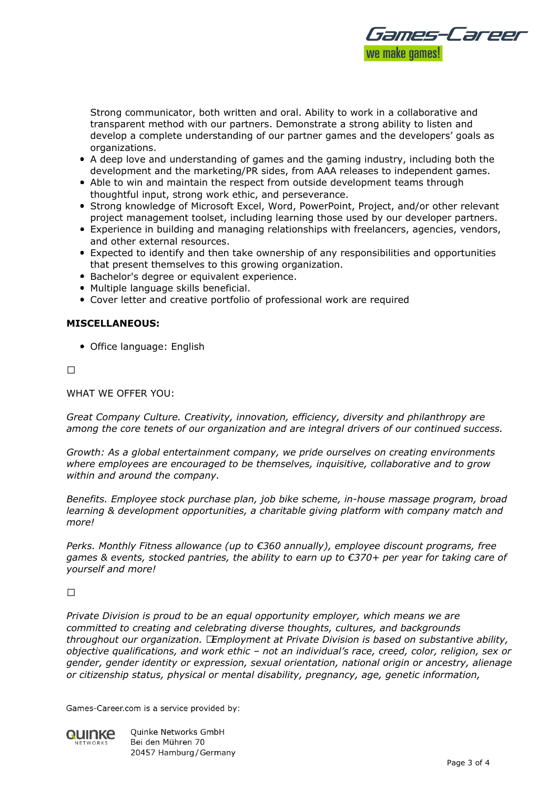

Strong communicator, both written and oral. Ability to work in a collaborative and transparent method with our partners. Demonstrate a strong ability to listen and develop a complete understanding of our partner games and the developers' goals as organizations.

- A deep love and understanding of games and the gaming industry, including both the development and the marketing/PR sides, from AAA releases to independent games.
- Able to win and maintain the respect from outside development teams through thoughtful input, strong work ethic, and perseverance.
- Strong knowledge of Microsoft Excel, Word, PowerPoint, Project, and/or other relevant project management toolset, including learning those used by our developer partners.
- Experience in building and managing relationships with freelancers, agencies, vendors, and other external resources.
- Expected to identify and then take ownership of any responsibilities and opportunities that present themselves to this growing organization.
- Bachelor's degree or equivalent experience.
- Multiple language skills beneficial.
- Cover letter and creative portfolio of professional work are required

#### **MISCELLANEOUS:**

• Office language: English

 $\Box$ 

WHAT WE OFFER YOU:

*Great Company Culture. Creativity, innovation, efficiency, diversity and philanthropy are among the core tenets of our organization and are integral drivers of our continued success.*

*Growth: As a global entertainment company, we pride ourselves on creating environments where employees are encouraged to be themselves, inquisitive, collaborative and to grow within and around the company.*

*Benefits. Employee stock purchase plan, job bike scheme, in-house massage program, broad learning & development opportunities, a charitable giving platform with company match and more!*

*Perks. Monthly Fitness allowance (up to €360 annually), employee discount programs, free games & events, stocked pantries, the ability to earn up to €370+ per year for taking care of yourself and more!*

#### $\Box$

*Private Division is proud to be an equal opportunity employer, which means we are committed to creating and celebrating diverse thoughts, cultures, and backgrounds throughout our organization. Employment at Private Division is based on substantive ability, objective qualifications, and work ethic – not an individual's race, creed, color, religion, sex or gender, gender identity or expression, sexual orientation, national origin or ancestry, alienage or citizenship status, physical or mental disability, pregnancy, age, genetic information,*

Games-Career.com is a service provided by:



**Ouinke Networks GmbH** Bei den Mühren 70 20457 Hamburg / Germany